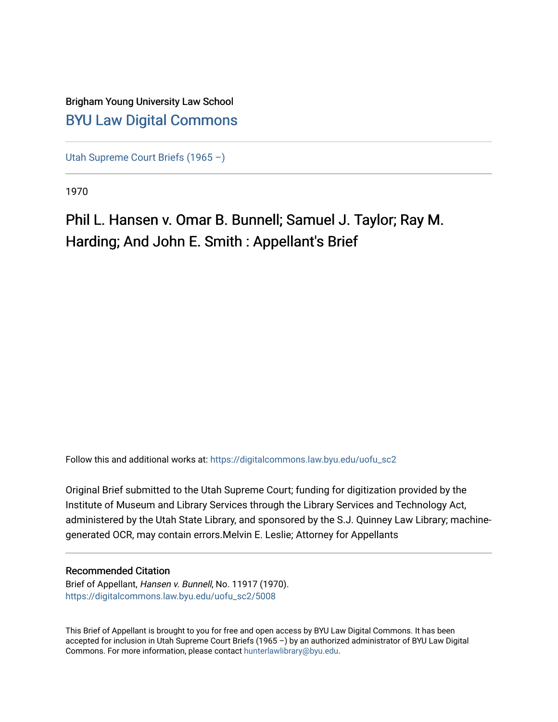# Brigham Young University Law School [BYU Law Digital Commons](https://digitalcommons.law.byu.edu/)

[Utah Supreme Court Briefs \(1965 –\)](https://digitalcommons.law.byu.edu/uofu_sc2)

1970

# Phil L. Hansen v. Omar B. Bunnell; Samuel J. Taylor; Ray M. Harding; And John E. Smith : Appellant's Brief

Follow this and additional works at: [https://digitalcommons.law.byu.edu/uofu\\_sc2](https://digitalcommons.law.byu.edu/uofu_sc2?utm_source=digitalcommons.law.byu.edu%2Fuofu_sc2%2F5008&utm_medium=PDF&utm_campaign=PDFCoverPages)

Original Brief submitted to the Utah Supreme Court; funding for digitization provided by the Institute of Museum and Library Services through the Library Services and Technology Act, administered by the Utah State Library, and sponsored by the S.J. Quinney Law Library; machinegenerated OCR, may contain errors.Melvin E. Leslie; Attorney for Appellants

#### Recommended Citation

Brief of Appellant, Hansen v. Bunnell, No. 11917 (1970). [https://digitalcommons.law.byu.edu/uofu\\_sc2/5008](https://digitalcommons.law.byu.edu/uofu_sc2/5008?utm_source=digitalcommons.law.byu.edu%2Fuofu_sc2%2F5008&utm_medium=PDF&utm_campaign=PDFCoverPages) 

This Brief of Appellant is brought to you for free and open access by BYU Law Digital Commons. It has been accepted for inclusion in Utah Supreme Court Briefs (1965 –) by an authorized administrator of BYU Law Digital Commons. For more information, please contact [hunterlawlibrary@byu.edu](mailto:hunterlawlibrary@byu.edu).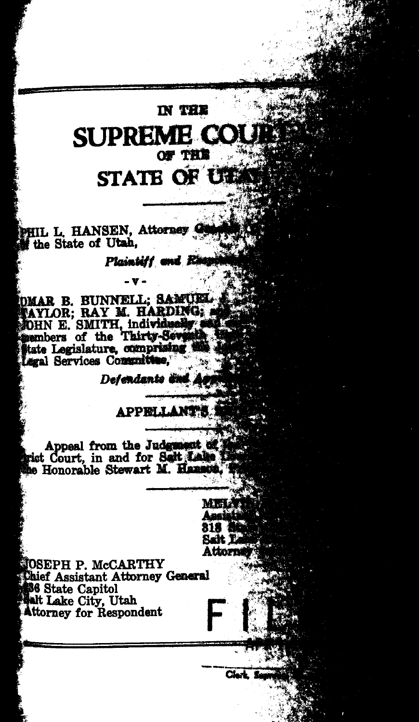# N THE SUPREME CO *cw THE* **STATE OF CH**

. ,,

PHIL L. HANSEN, Attorney<br>If the State of Utah,

Plaintiff and **R** 

DMAR B. BUNNELL; SAMUEL NAYLOR; RAY M. HARDING, OHN E. SMITH, individually members of the Thirty-Seventhern Contractors Legal Services Committee,

-v-

Defendants and

#### **APPELLANTY**

Appeal from the Judgment of riet Court, in and for Salt Lake

> **MELA** Anal 818. Salt T Ation

> > Clark<sub>5</sub>

OSEPH P. McCARTHY hief Assistant Attorney General **86 State Capitol Ask Lake City, Utah**<br>Attorney for Respondent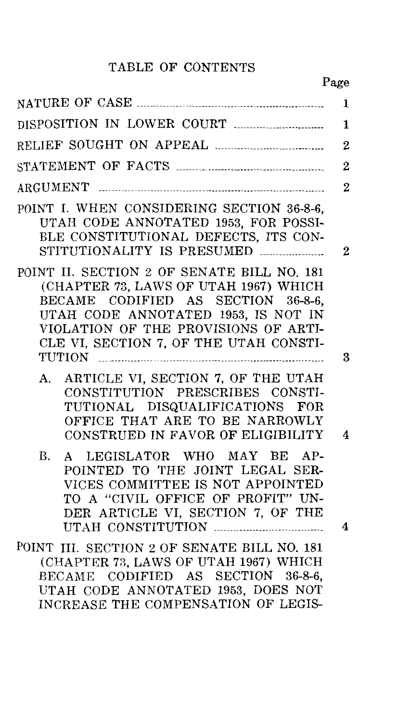### TABLE OF CONTENTS

|                                                                                                                                                                                                                                                    | 1                |
|----------------------------------------------------------------------------------------------------------------------------------------------------------------------------------------------------------------------------------------------------|------------------|
|                                                                                                                                                                                                                                                    | 1                |
|                                                                                                                                                                                                                                                    | $\overline{2}$   |
|                                                                                                                                                                                                                                                    | $\boldsymbol{2}$ |
|                                                                                                                                                                                                                                                    | $\overline{2}$   |
| POINT I. WHEN CONSIDERING SECTION 36-8-6,<br>UTAH CODE ANNOTATED 1953, FOR POSSI-<br>BLE CONSTITUTIONAL DEFECTS, ITS CON-<br>STITUTIONALITY IS PRESUMED                                                                                            | $\overline{2}$   |
| POINT II. SECTION 2 OF SENATE BILL NO. 181<br>(CHAPTER 73, LAWS OF UTAH 1967) WHICH<br>BECAME CODIFIED AS SECTION 36-8-6,<br>UTAH CODE ANNOTATED 1953, IS NOT IN<br>VIOLATION OF THE PROVISIONS OF ARTI-<br>CLE VI, SECTION 7, OF THE UTAH CONSTI- | 3                |
| ARTICLE VI, SECTION 7, OF THE UTAH<br>А.<br>CONSTITUTION PRESCRIBES CONSTI-<br>TUTIONAL DISQUALIFICATIONS FOR<br>OFFICE THAT ARE TO BE NARROWLY<br>CONSTRUED IN FAVOR OF ELIGIBILITY                                                               | 4                |
| В.<br>A LEGISLATOR WHO MAY BE AP-<br>POINTED TO THE JOINT LEGAL SER-<br>VICES COMMITTEE IS NOT APPOINTED<br>TO A "CIVIL OFFICE OF PROFIT" UN-<br>DER ARTICLE VI, SECTION 7, OF THE                                                                 | 4                |
| POINT III. SECTION 2 OF SENATE BILL NO. 181<br>(CHAPTER 73, LAWS OF UTAH 1967) WHICH<br>BECAME CODIFIED AS SECTION 36-8-6,<br>UTAH CODE ANNOTATED 1953, DOES NOT<br>INCREASE THE COMPENSATION OF LEGIS-                                            |                  |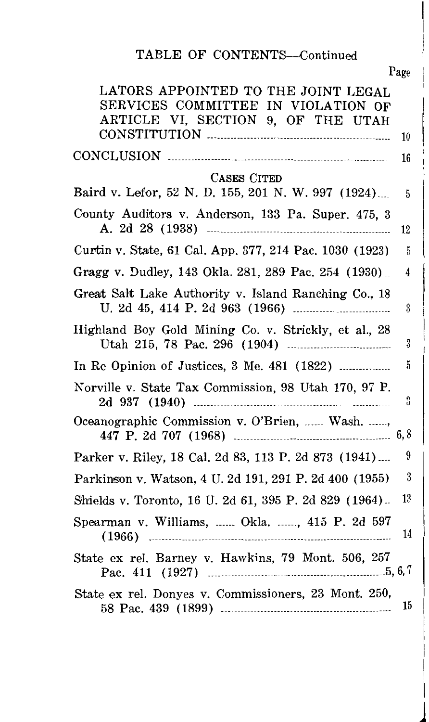## TABLE OF CONTENTS-Continued

| Page                                                                                                                  |
|-----------------------------------------------------------------------------------------------------------------------|
| LATORS APPOINTED TO THE JOINT LEGAL<br>SERVICES COMMITTEE IN VIOLATION OF<br>ARTICLE VI, SECTION 9, OF THE UTAH<br>10 |
| 16                                                                                                                    |
| CASES CITED                                                                                                           |
| Baird v. Lefor, 52 N. D. 155, 201 N. W. 997 (1924)<br>5                                                               |
| County Auditors v. Anderson, 133 Pa. Super. 475, 3<br>12                                                              |
| Curtin v. State, 61 Cal. App. 377, 214 Pac. 1030 (1923)<br>5                                                          |
| Gragg v. Dudley, 143 Okla. 281, 289 Pac. 254 (1930)<br>4                                                              |
| Great Salt Lake Authority v. Island Ranching Co., 18<br>3                                                             |
| Highland Boy Gold Mining Co. v. Strickly, et al., 28<br>$\boldsymbol{\mathrm{3}}$                                     |
| 5<br>In Re Opinion of Justices, 3 Me. 481 (1822)                                                                      |
| Norville v. State Tax Commission, 98 Utah 170, 97 P.<br>3                                                             |
| Oceanographic Commission v. O'Brien,  Wash. ,<br>6, 8                                                                 |
| 9<br>Parker v. Riley, 18 Cal. 2d 83, 113 P. 2d 873 (1941)                                                             |
| 3<br>Parkinson v. Watson, 4 U. 2d 191, 291 P. 2d 400 (1955)                                                           |
| $13\,$<br>Shields v. Toronto, 16 U. 2d 61, 395 P. 2d 829 (1964).                                                      |
| Spearman v. Williams,  Okla. , 415 P. 2d 597<br>14                                                                    |
| State ex rel. Barney v. Hawkins, 79 Mont. 506, 257                                                                    |
| State ex rel. Donyes v. Commissioners, 23 Mont. 250,<br>15                                                            |

 $\perp$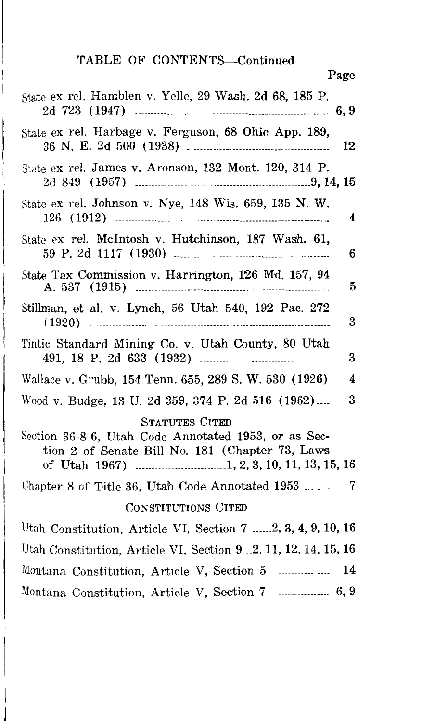# TABLE OF CONTENTS-Continued

| Page                                                                                                                             |
|----------------------------------------------------------------------------------------------------------------------------------|
| State ex rel. Hamblen v. Yelle, 29 Wash. 2d 68, 185 P.<br>6, 9                                                                   |
| State ex rel. Harbage v. Ferguson, 68 Ohio App. 189,<br>12                                                                       |
| State ex rel. James v. Aronson, 132 Mont. 120, 314 P.                                                                            |
| State ex rel. Johnson v. Nye, 148 Wis. 659, 135 N. W.<br>4                                                                       |
| State ex rel. McIntosh v. Hutchinson, 187 Wash. 61,<br>6                                                                         |
| State Tax Commission v. Harrington, 126 Md. 157, 94<br>5                                                                         |
| Stillman, et al. v. Lynch, 56 Utah 540, 192 Pac. 272<br>3                                                                        |
| Tintic Standard Mining Co. v. Utah County, 80 Utah<br>3                                                                          |
| 4<br>Wallace v. Grubb, 154 Tenn. 655, 289 S. W. 530 (1926)                                                                       |
| 3<br>Wood v. Budge, 13 U. 2d 359, 374 P. 2d 516 (1962)                                                                           |
| <b>STATUTES CITED</b><br>Section 36-8-6, Utah Code Annotated 1953, or as Sec-<br>tion 2 of Senate Bill No. 181 (Chapter 73, Laws |
| 7<br>Chapter 8 of Title 36, Utah Code Annotated 1953                                                                             |
| CONSTITUTIONS CITED                                                                                                              |
| Utah Constitution, Article VI, Section 7 2, 3, 4, 9, 10, 16                                                                      |
| Utah Constitution, Article VI, Section 9 .2, 11, 12, 14, 15, 16                                                                  |
| Montana Constitution, Article V, Section 5  14                                                                                   |
| Montana Constitution, Article V, Section 7  6,9                                                                                  |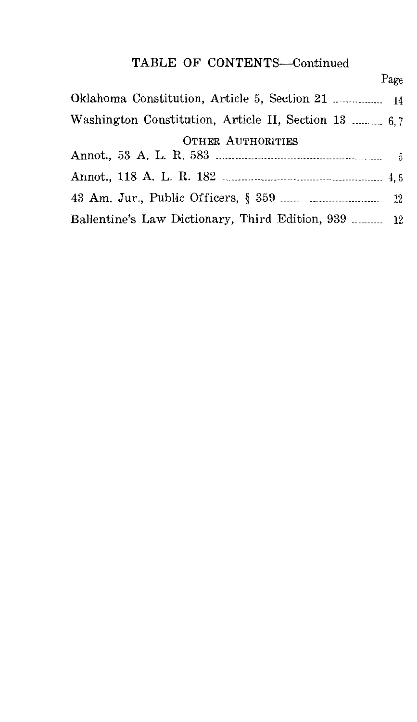# TABLE OF CONTENTS-Continued

|                                                      | Page |
|------------------------------------------------------|------|
|                                                      |      |
| Washington Constitution, Article II, Section 13  6.7 |      |
| <b>OTHER AUTHORITIES</b>                             |      |
|                                                      |      |
|                                                      |      |
|                                                      |      |
| Ballentine's Law Dictionary, Third Edition, 939  12  |      |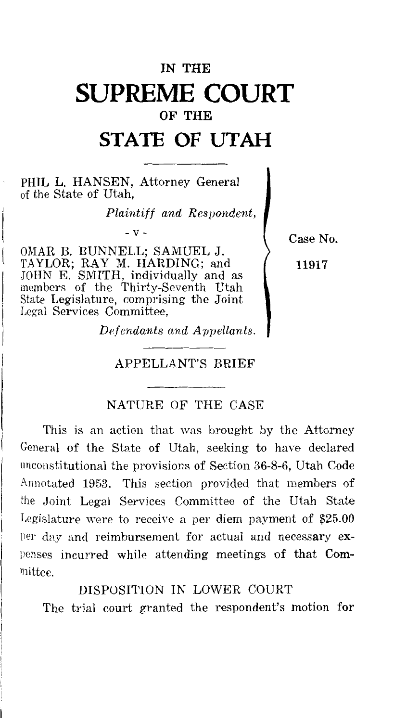# **IN THE SUPREME COURT OF THE**

# **STATE OF UTAH**

PHIL L. HANSEN, Attorney General of the State of Utah,

*Plaintiff and Respondent,* 

OMAR B. BUNNELL; SAMUEL J. TAYLOR; RAY M. HARDING; and JOHN E. SMITH, individually and as members of the Thirty-Seventh Utah State Legislature, comprising the Joint Legal Services Committee,

 $- v -$  Case No.

11917

*Defendants and Appollants.* 

#### APPELLANT'S BRIEF

#### NATURE OF THE CASE

This is an action that was brought by the Attorney General of the State of Utah, seeking to have declared unconstitutional the provisions of Section 36-8-6, Utah Code Annotated 1953. This section provided that members of the Joint Legal Services Committee of the Utah State Legislature were to receive a per diem payment of  $$25.00$ )Jer day and reimbursement for actual and necessary expenses incurred while attending meetings of that Committee.

#### DISPOSITION IN LOWER COURT

The trial court granted the respondent's motion for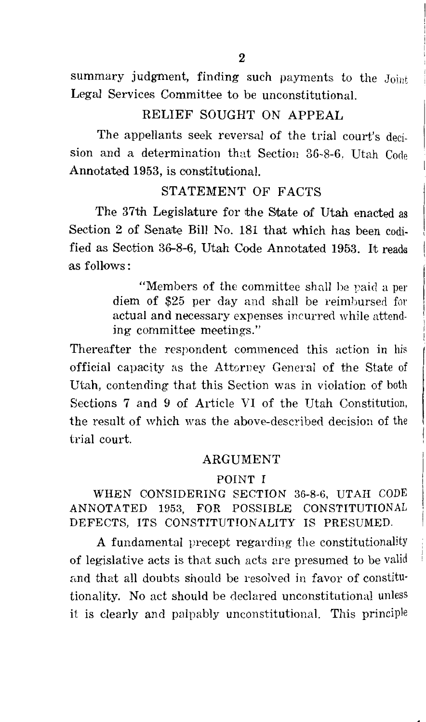summary judgment, finding such payments to the Joint Legal Services Committee to be unconstitutional.

#### RELIEF SOUGHT ON APPEAL

The appellants seek reversal of the trial court's decision and a determination that Section 36-8-6, Utah Code Annotated 1953, is constitutional.

#### STATEMENT OF FACTS

The 37th Legislature for the State of Utah enacted as Section 2 of Senate Bill No. 181 that which has been codified as Section 36-8-6, Utah Code Annotated 1953. It reads ,as follows:

> "Members of the committee shall he paid a per diem of \$25 per day and shall be reimbursed for actual and necessary expenses incurred while attending committee meetings."

Thereafter the respondent commenced this action in his official capacity as the Attorney General of the State of Utah, contending that this Section was in violation of both Sections 7 and 9 of Article VI of the Utah Constitution, the result of which was the above-described decision of the trial court.

#### ARGUMENT

#### POINT I

WHEN CONSIDERING SECTION 36-8-6, UTAH CODE ANNOTATED 1953, FOR POSSIBLE CONSTITUTIONAL DEFECTS, ITS CONSTITUTIONALITY IS PRESUMED.

A fundamental precept regarding the constitutionality of legislative acts is that such acts are presumed to be valid and that all doubts should be resolved in favor of constitutionality. No act should be declared unconstitutional unless it is clearly and palpably unconstitutional. This principle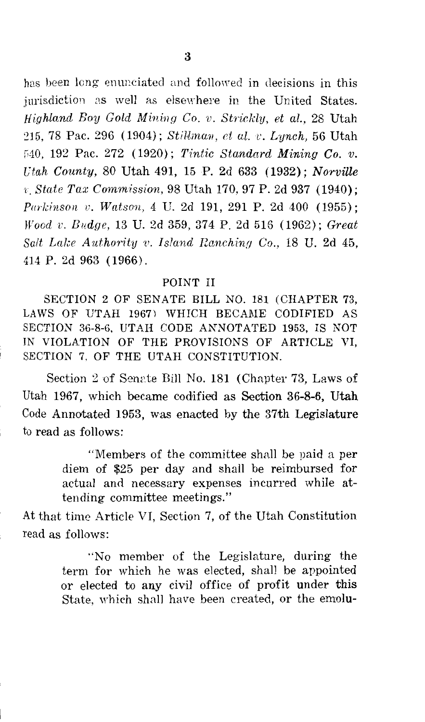has been long enunciated and followed in decisions in this jurisdiction as well as elsewhere in the United States. *Highland Boy Gold Mining Co. v. Strickly, et al.,* 28 Utah 215, 78 Pac. 296 (1904); *Stillman, et al. v. Lynch*, 56 Utah G40, 192 Pac. 272 (1920); *Tintic Standard Mining Co. v. Utah County,* 80 Utah 491, 15 P. 2d 633 (1932); *Norville*  r. *State Tax Commission,* 98 Utah 170, 97 P. 2d 937 (1940); *Parkinson v. Watson, 4 U. 2d 191, 291 P. 2d 400 (1955): Wood v. Budge,* 13 U. 2d 359, 374 P. 2d 516 (1962); *Great Salt Lake Authority v. Island Ranching Co., 18 U. 2d 45,* 414 P. 2d 963 (1966).

#### POINT II

SECTION 2 OF SENATE BILL NO. 181 (CHAPTER 73, LAWS OF UTAH 1967) WHICH BECAME CODIFIED AS SECTION 36-8-6, UTAH CODE ANNOTATED 1953, IS NOT IN VIOLATION OF THE PROVISIONS OF ARTICLE VI, SECTION 7. OF THE UTAH CONSTITUTION.

Section 2 of Senate Bill No. 181 (Chapter 73, Laws of Utah 1967, which became codified as Section 36-8-6, Utah Code Annotated 1953, was enacted by the 37th Legislature to read as follows:

> "Members of the committee shall be paid a per diem of \$25 per day and shall be reimbursed for actual and necessary expenses incurred while attending committee meetings."

At that time Article VI, Section 7, of the Utah Constitution read as follows:

> "No member of the Legislature, during the term for which he was elected, shall be appointed or elected to any civil office of profit under this State, which shall have been created, or the emolu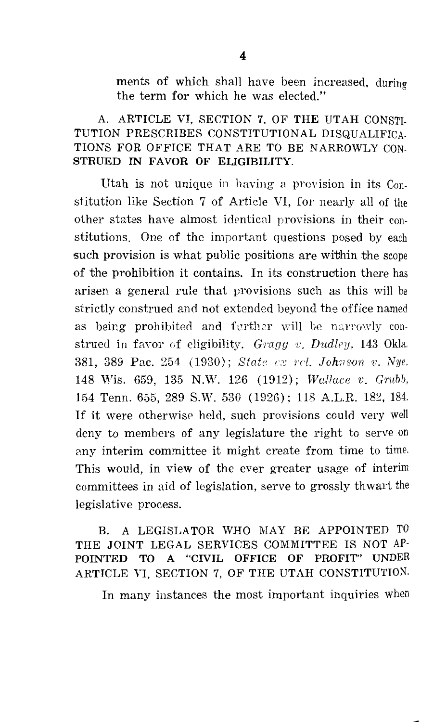ments of which shall have been increased, during the term for which he was elected."

#### A. ARTICLE VI, SECTION 7, OF THE UTAH CONSTI-TUTION PRESCRIBES CONSTITUTIONAL DISQUALIFICA-TIONS FOR OFFICE THAT ARE TO BE NARROWLY CON-STRUED IN FAVOR OF ELIGIBILITY.

Utah is not unique in having a provision in its Constitution like Section 7 of Article VI, for nearly all of the other states have almost identical provisions in their constitutions. One of the important questions posed by each such provision is what public positions are within the scope of the prohibition it contains. In its construction there has arisen a general rule that provisions such as this will be strictly construed and not extended beyond the office named as being prohibited and further will be narrowly construed in favor of eligibility. *Gragg v. Dudley*, 143 Okla. 381, 389 Pac. 254 (1930); *State cx rcl. Johnson v. Nye,* 148 Wis. 659, 135 N.W. 126 (1912); *Wallace v. Grubb*, 154 Tenn. 655, 289 S.W. 530 (1926); 118 A.L.R. 182, 184. If it were otherwise held, such provisions could very well deny to members of any legislature the right to serve on any interim committee it might create from time to time. This would, in view of the ever greater usage of interim committees in aid of legislation, serve to grossly th wart the legislative process.

#### B. A LEGISLATOR WHO MAY BE APPOINTED TO THE JOINT LEGAL SERVICES COMMITTEE IS NOT AP-POINTED TO A "CIVIL OFFICE OF PROFIT" UNDER ARTICLE VI, SECTION 7, OF THE UTAH CONSTITUTION.

In many instances the most important inquiries when

---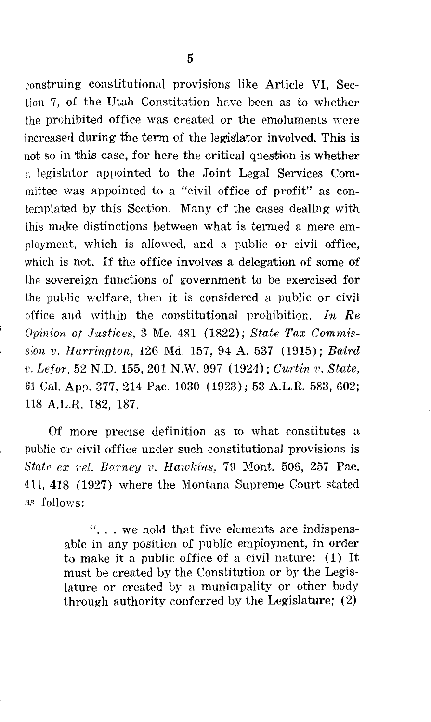construing constitutional provisions like Article VI, Section 7, of the Utah Constitution hnve been as to whether the prohibited office was created or the emoluments were increased during the term of the legislator involved. This is not so in this case, for here the critical question is whether a legislator appointed to the Joint Legal Services Committee was appointed to a "civil office of profit" as contemplated by this Section. Many of the cases dealing with this make distinctions between what is termed a mere employment, which is allowed, and a public or civil office, which is not. If the office involves a delegation of some of the sovereign functions of government to be exercised for the public welfare, then it is considered a public or civil office and within the constitutional prohibition. *In Re Opinion of Justices,* 3 Me. 481 (1822); *State Tax Commission v. Harrington, 126 Md. 157, 94 A. 537 (1915); Baird 'V. Lefor,* 52 N.D. 155, 201 N.W. 997 (1924); *Curtin v. State,*  61 Cal. App. 377, 214 Pac. 1030 (1923); 53 A.L.R. 583, 602; 118 A.L.R. 182, 187.

Of more precise definition as to what constitutes a public or civil office under such constitutional provisions is *State ex rel. Barney v. Hawkins, 79 Mont. 506, 257 Pac.* 411, 418 (1927) where the Montana Supreme Court stated as follows:

> "... we hold that five elements are indispensable in any position of public employment, in order to make it a public office of a civil nature: (1) It must be created by the Constitution or by the Legislature or created by a municipality or other body through authority conferred by the Legislature; (2)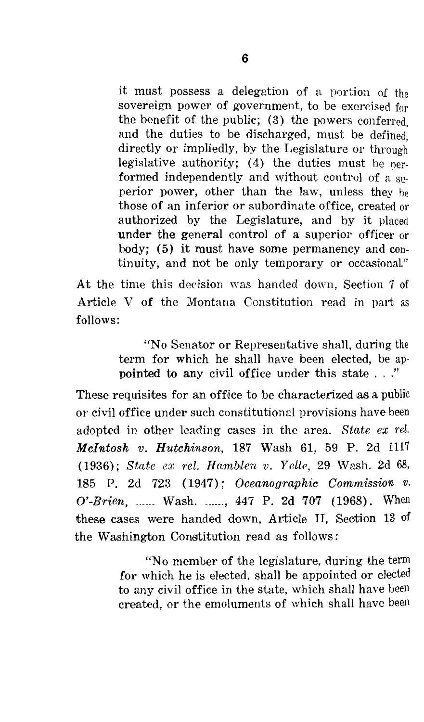it must possess a delegation of a portion of the sovereign power of government, to be exercised for the benefit of the public; (3) the powers conferred and the duties to be discharged, must be defined directly or impliedly, by the Legislature or through legislative authority; (4) the duties must be performed independently and without control of a superior power, other than the law, unless they he those of an inferior or subordinate office, created or authorized by the Legislature, and by it placed under the general control of a superior officer or body; (5) it must have some permanency and continuity, and not be only temporary or occasional."

At the time this decision was handed down, Section 7 of Article V of the Montana Constitution read in part as follows:

> "No Senator or Representative shall, during the term for which he shall have been elected, be appointed to any civil office under this state ... "

These requisites for an office to be characterized as a public or civil office under such constitutional provisions have been adopted in other leading cases in the area. *State ex rel. Mcintosh v. Hutchinson,* 187 Wash 61, 59 P. 2d 1117 (1936): *State ex rel. Hamblen v. Yelle,* 29 Wash. 2d 68, 185 P. 2d 723 ( 1947); *Oceanographic Commission v. O'-Brien,* \_\_\_\_\_\_ Wash. \_\_\_\_\_\_ , 447 P. 2d 707 (1968). When these cases were handed down, Article II, Section 13 of the Washington Constitution read as follows :

> "No member of the legislature, during the term for which he is elected, shall be appointed or elected to any civil office in the state, which shall have been created, or the emoluments of which shall have been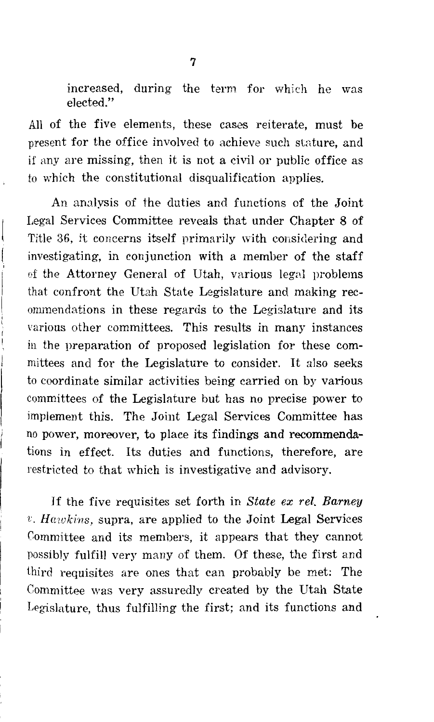increased, during the term for which he was elected."

All of the five elements, these cases reiterate, must be present for the office involved to achieve such stature, and if any are missing, then it is not a civil or public office as to which the constitutional disqualification applies.

An analysis of the duties and functions of the Joint Legal Services Committee reveals that under Chapter 8 of Title 36, it concerns itself primarily with considering and investigating, in conjunction with a member of the staff of the Attorney General of Utah, various legal problems that confront the Utah State Legislature and making recommendations in these regards to the Legislature and its various other committees. This results in many instances in the preparation of proposed legislation for these committees and for the Legislature to consider. It also seeks to coordinate similar activities being carried on by various committees of the Legislature but has no precise power to implement this. The Joint Legal Services Committee has no power, moreover, to place its findings and recommendations in effect. Its duties and functions, therefore, are restricted to that which is investigative and advisory.

If the five requisites set forth in *State ex rel. Barney*  r. *Hawkins,* supra, are applied to the Joint Legal Services Committee and its members, it appears that they cannot possibly fulfill very many of them. Of these, the first and third requisites are ones that can probably be met: The Committee was very assuredly created by the Utah State Legislature, thus fulfilling the first; and its functions and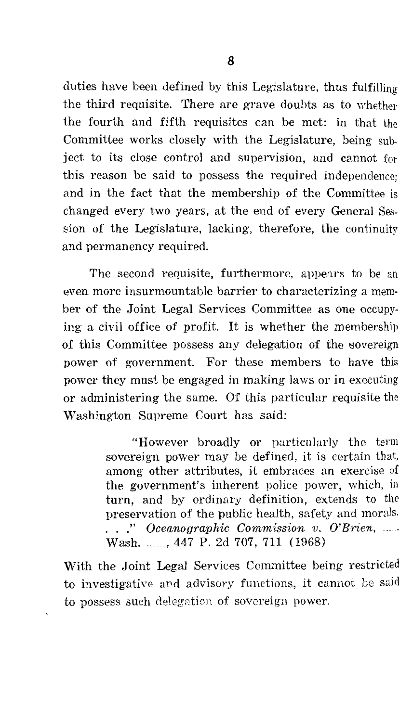duties have been defined by this Legislature, thus fulfilling the third requisite. There are grave doubts as to vvhether the fourth and fifth requisites can be met: in that the Committee works closely with the Legislature, being subject to its close control and supervision, and cannot for this reason be said to possess the required independence; and in the fact that the membership of the Committee is changed every two years, at the end of every General Session of the Legislature, lacking, therefore, the continuity and permanency required.

The second requisite, furthermore, appears to be an even more insurmountable barrier to characterizing a member of the Joint Legal Services Committee as one occupying a civil office of profit. It is whether the membership of this Committee possess any delegaition of the sovereign power of government. For these members to have this power they must be engaged in making laws or in executing or administering the same. Of this particular requisite the Washington Supreme Court has said:

> "However broadly or particularly the term sovereign power may be defined, it is certain that, among other attributes, it embraces an exercise of the government's inherent police power, which, in turn, and by ordinary definition, extends to the preservation of the public health, safety and morals. ..." Oceanographic Commission v. O'Brien, ...... Wash. ....., 447 P. 2d 707, 711 (1968)

With the Joint Legal Services Committee being restricted to investigative and advisory functions, it cannot be said to possess such delegation of sovereign power.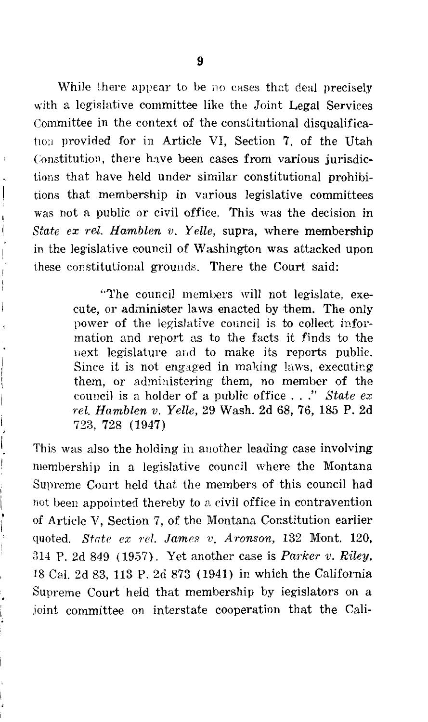While there appear to be no cases that deal precisely with a legislative committee like the Joint Legal Services Committee in the context of the constitutional disqualificat<sub>10;1</sub> provided for in Article VI, Section 7, of the Utah Constitution, there have been cases from various jurisdictions that have held under similar constitutional prohibitions that membership in various legislative committees was not a public or civil office. This was the decision in *State ex rel. Hamblen v. Yelle,* supra, where membership in the legislative council of Washington was attacked upon these constitutional grounds. There the Court said:

j 1  $\mathbf{I}$ 

"The council members will not legislate, execute, or administer laws enacted by them. The only power of the legislative council is to collect information and report as to the facts it finds to the next legislature and to make its reports public. Since it is not engaged in making laws, executing. them, or administering them, no member of the council is a holder of a public office ... " *State ex rel. Hamblen v. Yelle,* 29 Wash. 2d 68, 76, 185 P. 2d 723, 728 (1947)

This was also the holding in another leading case involving membership in a legislative council where the Montana Supreme Court held that the members of this council had not been appointed thereby to a civil office in contravention of Article V, Section 7, of the Montana Constitution earlier quoted. *State ex rel. James v. Aronson*, 132 Mont. 120, 814 P. 2d 849 (1957). Yet another case is *Parker v. Riley,*  18 Cal. 2d 83, 113 P. 2d 873 (1941) in which the California Supreme Court held that membership by legislators on a .ioint committee on interstate cooperation that the Cali-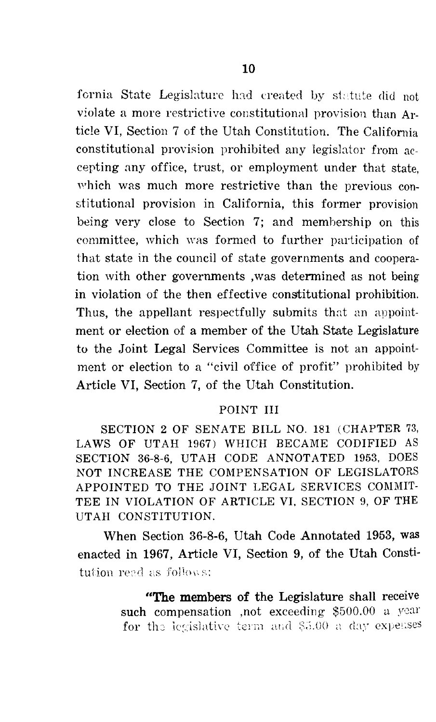fornia State Legislature had created by statute did not violate a more restrictive constitutional provision than Article VI, Section 7 of the Utah Constitution. The California constitutional provision prohibited any legislator from accepting any office, trust, or employment under that state, which was much more restrictive than the previous constitutional provision in California, this former provision being very close to Section 7; and membership on this committee, which was formed to further participation of that state in the council of state governments and cooperation with other governments ,was determined as not being in violation of the then effective constitutional prohibition. Thus, the appellant respectfully submits that an appointment or election of a member of the Utah State Legislature to the Joint Legal Services Committee is not an appointment or election to a "civil office of profit" prohibited by Article VI, Section 7, of the Utah Constitution.

#### POINT III

SECTION 2 OF SENATE BILL NO. 181 (CHAPTER 73, LAWS OF UTAH 1967) WHICH BECAME CODIFIED AS SECTION 36-8-6, UTAH CODE ANNOTATED 1953, DOES NOT INCREASE THE COMPENSATION OF LEGISLATORS APPOINTED TO THE JOINT LEGAL SERVICES COMMIT-TEE IN VIOLATION OF ARTICLE VI. SECTION 9, OF THE UTAH CONSTITUTION.

When Section 36-8-6, Utah Code Annotated 1953, was enacted in 1967, Article VI, Section 9, of the Utah Consti tution reed as follows:

> "The members of the Legislature shall receive such compensation ,not exceeding  $$500.00$  a year for the legislative term and \$5.00 a day expenses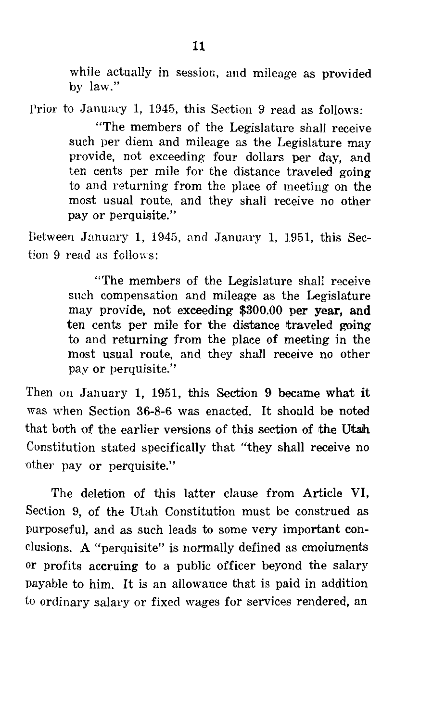while actually in session, and mileage as provided by law."

Prior to January 1, 1945, this Section 9 read as follows:

"The members of the Legislature shall receive such per diem and mileage as the Legislature may provide, not exceeding four dollars per day, and ten cents per mile for the distance traveled going to and returning from the place of meeting on the most usual route, and they shall receive no other pay or perquisite."

Between January 1, 1945, and January 1, 1951, this Section 9 read as follows:

> "The members of the Legislature shall receive snch compensation and mileage as the Legislature may provide, not exceeding \$300.00 per year, and ten cents per mile for the distance traveled going to and returning from the place of meeting in the most usual route, and they shall receive no other pay or perquisite."

Then on January 1, 1951, this Section 9 became what it was when Section 36-8-6 was enacted. It should be noted that both of the earlier vensions of this section of the Utah Constitution stated specifically that "they shall receive no other pay or perquisite."

The deletion of this latter clause from Article VI, Section 9, of the Utah Constitution must be construed as purposeful, and as such leads to some very important conclusions. A "perquisite" is normally defined as emoluments or profits accruing to a public officer beyond the salary payable to him. It is an allowance that is paid in addition to ordinary salary or fixed wages for services rendered, an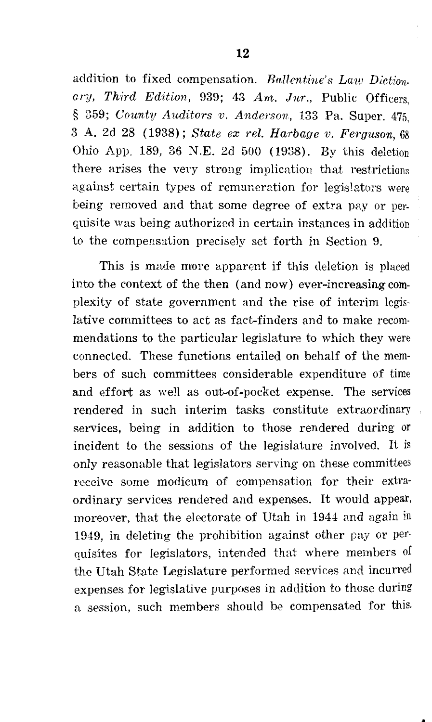addition to fixed compensation. *Ballenthie's Law Diction*ary, Third Edition, 939; 43 Am. Jur., Public Officers. ' § 359; *County Auditors v. Anderson,* 133 Pa. Super. 475, 3 A. 2d 28 (1938); *State ex rel. Harbage v. Ferguson,* 68 Ohio App. 189, 36 N.E. 2d 500 ( 1938). By this deletion there arises the very strong implication that restrictions against certain types of remuneration for legislators were being removed and that some degree of extra pay or perquisite was being authorized in certain instances in addition to the compensation precisely set forth in Section 9.

This is made more apparent if this deletion is placed into the context of the then (and now) ever-increasing complexity of state government and the rise of interim legislative committees to act as fact-finders and to make recommendations to the particular legislature to which they were connected. These functions entailed on behalf of the members of such committees considerable expenditure of time and effort as well as out-of-pocket expense. The services rendered in such interim tasks constitute extraordinary services, being in addition to those rendered during or incident to the sessions of the legislature involved. It is only reasonable that legislators serving on these committees receive some modicum of compensation for their extraordinary services rendered and expenses. It would appear, moreover, that the electorate of Utah in 1944 and again in 1949, in deleting the prohibition against other pay or perquisites for legislators, intended that where members of the Utah State Legislature performed services and incurred expenses for legislative purposes in addition to those during a session, such members should be compensated for this.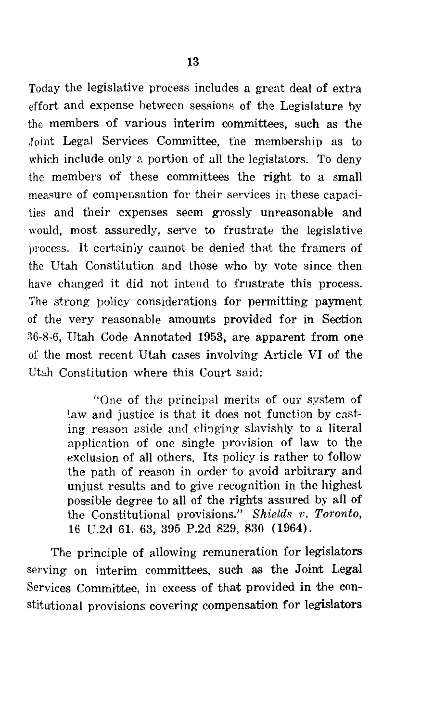Today the legislative process includes a great deal of extra effort and expense between sessions of the Legislature by the members of various interim committees, such as the ,Joint Legal Services Committee, the membership as to which include only a portion of all the legislators. To deny the members of these committees the right to a small

measure of compensation for their services in these capacities and their expenses seem grossly unreasonable and would, most assuredly, serve to frustrate the legislative process. It certainly cannot be denied that the framers of the Utah Constitution and those who by vote since then have changed it did not intend to frustrate this process. The strong policy considerations for permitting payment of the very reasonable amounts provided for in Section 36-8-6, Utah Code Annotated 1953, are apparent from one of the most recent Utah cases involving Article VI of the Utah Constitution where this Court said:

> "One of the principal merits of our system of law and justice is that it does not function by casting reason aside and clinging slavishly to a literal application of one single provision of law to the exclusion of all others. Its policy is rather to follow the path of reason in order to avoid arbitrary and unjust results and to give recognition in the highest possible degree to all of the rights assured by all of the Constitutional provisions." *Shields v. Toronto*, 16 U.2d 61. 63, 395 P.2d 829, 830 (1964).

The principle of allowing remuneration for legislators serving on interim committees, such as the Joint Legal Services Committee, in excess of that provided in the constitutional provisions covering compensation for legislators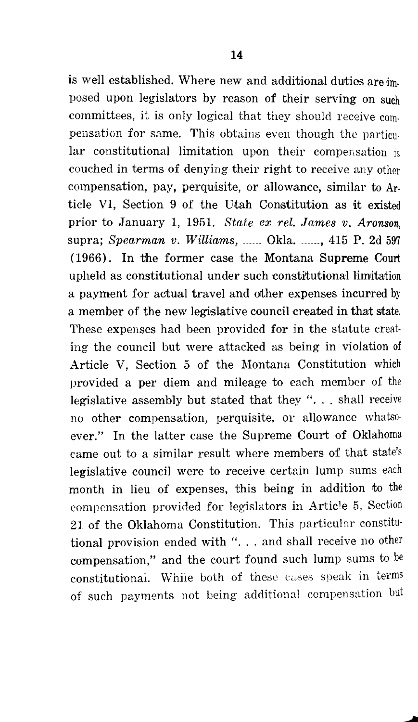is well established. Where new and additional duties are imposed upon legislators by reason of their serving on such committees, it is only logical that they should receive compensation for same. This obtains even though the particular constitutional limitation upon their compensation is couched in terms of denying their right to receive any other compensation, pay, perquisite, or allowance, similar to Article VI, Section 9 of the Utah Constitution as it existed prior to January 1, 1951. *State ex rel. James v. Aronson,*  supra; *Spearman v. Williams,* \_\_\_\_\_\_ Okla. \_\_\_\_\_\_ , 415 P. 2d <sup>597</sup> ( 1966). In the former case the Montana Supreme Court upheld as constitutional under such constitutional limitation a payment for actual travel and other expenses incurred by a member of the new legislative council created in that state. These expenses had been provided for in the statute creating the council but were attacked as being in violation of Article V, Section 5 of the Montana Constitution which provided a per diem and mileage to each member of the legislative assembly but stated that they " $\ldots$  shall receive no other compensation, perquisite, or allowance whatsoever." In the latter case the Supreme Court of Oklahoma came out to a similar result where members of that state's legislative council were to receive certain lump sums each month in lieu of expenses, this being in addition to the compensation provided for legislators in Article 5, Section 21 of the Oklahoma Constitution. This particular constitutional provision ended with "... and shall receive no other compensation," and the court found such lump sums to be constitutional. While both of these cases speak in terms of such payments not being additional compensation but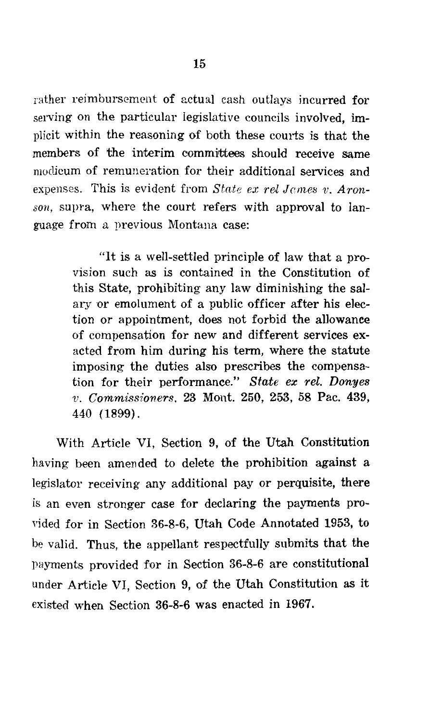rather reimbursement of actual cash outlays incurred for serving on the particular legislative councils involved, implicit within the reasoning of both these courts is that the members of the interim committees should receive same modicum of remuneration for their additional services and expenses. This is evident from *State ex rel James v. Aronson,* supra, where the court refers with approval to language from a previous Montana case:

> "It is a well-settled principle of law that a provision such as is contained in the Constitution of this State, prohibiting any law diminishing the salary or emolument of a public officer after his election or appointment, does not forbid the allowance of compensation for new and different services exacted from him during his term, where the statute imposing the duties also prescribes the compensation for their performance." *State ex rel. Donyes v. Commissioners.* 23 Mont. 250, 253, 58 Pac. 439, 440 (1899).

With Article VI, Section 9, of the Utah Constitution having been amended to delete the prohibition against a legislator receiving any additional pay or perquisite, there is an even stronger case for declaring the payments provided for in Section 36-8-6, Utah Code Annotated 1953, to be valid. Thus, the appellant respectfully submits that the payments provided for in Section 36-8-6 are constitutional under Article VI, Section 9, of the Utah Constitution as it existed when Section 36-8-6 was enacted in 1967.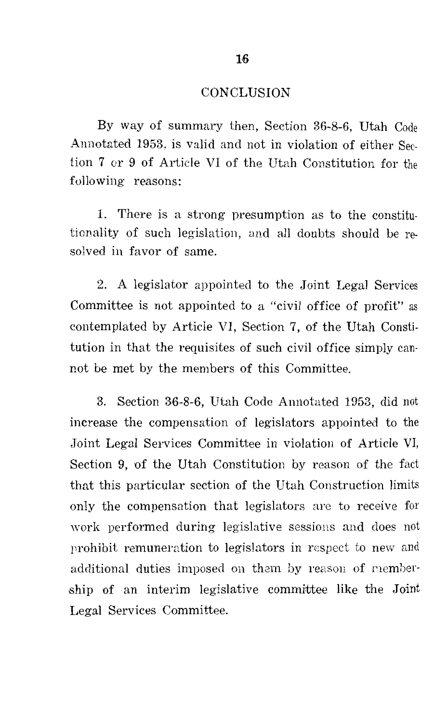#### **CONCLUSION**

By way of summary then, Section 36-8-6, Utah Code Annotated 1953, is valid and not in violation of either Section 7 or 9 of Article VI of the Utah Constitution for the following reasons:

1. There is a strong presumption as to the constitutionality of such legislation, and all doubts should be resolved in favor of same.

2. A legislator appointed to the Joint Legal Services Committee is not appointed to a "civil office of profit" as contemplated by Article VI, Section 7, of the Utah Constitution in that the requisites of such civil office simply cannot be met by the members of this Committee.

3. Section 36-8-6, Utah Code Annotated 1953, did not increase the compensation of legislators appointed to the Joint Legal Services Committee in violation of Article VI, Section 9, of the Utah Constitution by reason of the fact that this particular section of the Utah Construction limits only the compensation that legislators are to receive for work performed during legislative sessions and does not prohibit remuneration to legislators in respect to new and additional duties imposed on them by reason of membership of an interim legislative committee like the Joint Legal Services Committee.